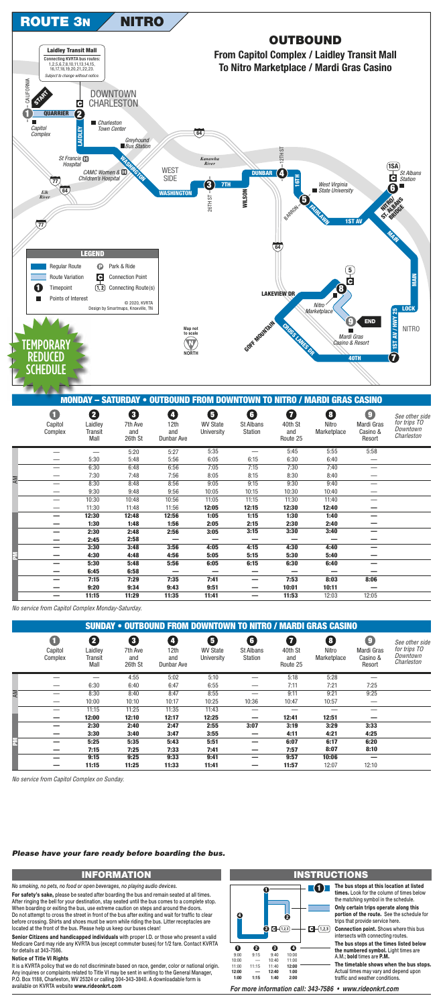

**NITRO** 



## **MONDAY - SATURDAY • OUTBOUND FROM DOWNTOWN TO NITRO / MARDI GRAS CASINO**

|    | $\blacksquare$<br>Capitol<br>Complex | 2<br>Laidley<br>Transit<br>Mall | 8<br>7th Ave<br>and<br>26th St | Ø<br>12th<br>and<br>Dunbar Ave | 6<br><b>WV State</b><br>University | $\bigodot$<br><b>St Albans</b><br>Station | Q<br>40th St<br>and<br>Route 25 | 8<br>Nitro<br>Marketplace | $\bullet$<br>Mardi Gras<br>Casino &<br>Resort | See other side<br>for trips TO<br>Downtown<br>Charleston |
|----|--------------------------------------|---------------------------------|--------------------------------|--------------------------------|------------------------------------|-------------------------------------------|---------------------------------|---------------------------|-----------------------------------------------|----------------------------------------------------------|
|    |                                      |                                 | 5:20                           | 5:27                           | 5:35                               |                                           | 5:45                            | 5:55                      | 5:58                                          |                                                          |
|    |                                      | 5:30                            | 5:48                           | 5:56                           | 6:05                               | 6:15                                      | 6:30                            | 6:40                      |                                               |                                                          |
|    |                                      | 6:30                            | 6:48                           | 6:56                           | 7:05                               | 7:15                                      | 7:30                            | 7:40                      |                                               |                                                          |
|    |                                      | 7:30                            | 7:48                           | 7:56                           | 8:05                               | 8:15                                      | 8:30                            | 8:40                      |                                               |                                                          |
| AM |                                      | 8:30                            | 8:48                           | 8:56                           | 9:05                               | 9:15                                      | 9:30                            | 9:40                      |                                               |                                                          |
|    |                                      | 9:30                            | 9:48                           | 9:56                           | 10:05                              | 10:15                                     | 10:30                           | 10:40                     |                                               |                                                          |
|    |                                      | 10:30                           | 10:48                          | 10:56                          | 11:05                              | 11:15                                     | 11:30                           | 11:40                     |                                               |                                                          |
|    |                                      | 11:30                           | 11:48                          | 11:56                          | 12:05                              | 12:15                                     | 12:30                           | 12:40                     |                                               |                                                          |
|    |                                      | 12:30                           | 12:48                          | 12:56                          | 1:05                               | 1:15                                      | 1:30                            | 1:40                      |                                               |                                                          |
|    |                                      | 1:30                            | 1:48                           | 1:56                           | 2:05                               | 2:15                                      | 2:30                            | 2:40                      |                                               |                                                          |
|    |                                      | 2:30                            | 2:48                           | 2:56                           | 3:05                               | 3:15                                      | 3:30                            | 3:40                      |                                               |                                                          |
|    |                                      | 2:45                            | 2:58                           |                                | -                                  |                                           |                                 |                           |                                               |                                                          |
|    |                                      | 3:30                            | 3:48                           | 3:56                           | 4:05                               | 4:15                                      | 4:30                            | 4:40                      |                                               |                                                          |
| F  |                                      | 4:30                            | 4:48                           | 4:56                           | 5:05                               | 5:15                                      | 5:30                            | 5:40                      |                                               |                                                          |
|    |                                      | 5:30                            | 5:48                           | 5:56                           | 6:05                               | 6:15                                      | 6:30                            | 6:40                      |                                               |                                                          |
|    |                                      | 6:45                            | 6:58                           | -                              | -                                  | -                                         |                                 |                           |                                               |                                                          |
|    |                                      | 7:15                            | 7:29                           | 7:35                           | 7:41                               | -                                         | 7:53                            | 8:03                      | 8:06                                          |                                                          |
|    |                                      | 9:20                            | 9:34                           | 9:43                           | 9:51                               |                                           | 10:01                           | 10:11                     |                                               |                                                          |
|    |                                      | 11:15                           | 11:29                          | 11:35                          | 11:41                              | -                                         | 11:53                           | 12:03                     | 12:05                                         |                                                          |

No service from Capitol Complex Monday-Saturday.

|    | <b>SUNDAY • OUTBOUND FROM DOWNTOWN TO NITRO / MARDI GRAS CASINO</b> |                                 |                                |                                               |                                    |                                  |                                 |                           |                                                |                                                          |  |  |
|----|---------------------------------------------------------------------|---------------------------------|--------------------------------|-----------------------------------------------|------------------------------------|----------------------------------|---------------------------------|---------------------------|------------------------------------------------|----------------------------------------------------------|--|--|
|    | a<br>Capitol<br>Complex                                             | 2<br>Laidley<br>Transit<br>Mall | 8<br>7th Ave<br>and<br>26th St | $\boldsymbol{C}$<br>12th<br>and<br>Dunbar Ave | 0<br><b>WV State</b><br>University | G<br>St Albans<br><b>Station</b> | 0<br>40th St<br>and<br>Route 25 | 8<br>Nitro<br>Marketplace | $\bigcirc$<br>Mardi Gras<br>Casino &<br>Resort | See other side<br>for trips TO<br>Downtown<br>Charleston |  |  |
|    |                                                                     |                                 | 4:55                           | 5:02                                          | 5:10                               |                                  | 5:18                            | 5:28                      |                                                |                                                          |  |  |
|    |                                                                     | 6:30                            | 6:40                           | 6:47                                          | 6:55                               |                                  | 7:11                            | 7:21                      | 7:25                                           |                                                          |  |  |
| AM |                                                                     | 8:30                            | 8:40                           | 8:47                                          | 8:55                               |                                  | 9:11                            | 9:21                      | 9:25                                           |                                                          |  |  |
|    |                                                                     | 10:00                           | 10:10                          | 10:17                                         | 10:25                              | 10:36                            | 10:47                           | 10:57                     |                                                |                                                          |  |  |
|    |                                                                     | 11:15                           | 11:25                          | 11:35                                         | 11:43                              |                                  | –                               |                           |                                                |                                                          |  |  |
|    |                                                                     | 12:00                           | 12:10                          | 12:17                                         | 12:25                              |                                  | 12:41                           | 12:51                     |                                                |                                                          |  |  |
|    |                                                                     | 2:30                            | 2:40                           | 2:47                                          | 2:55                               | 3:07                             | 3:19                            | 3:29                      | 3:33                                           |                                                          |  |  |
|    |                                                                     | 3:30                            | 3:40                           | 3:47                                          | 3:55                               |                                  | 4:11                            | 4:21                      | 4:25                                           |                                                          |  |  |
|    |                                                                     | 5:25                            | 5:35                           | 5:43                                          | 5:51                               |                                  | 6:07                            | 6:17                      | 6:20                                           |                                                          |  |  |
|    |                                                                     | 7:15                            | 7:25                           | 7:33                                          | 7:41                               |                                  | 7:57                            | 8:07                      | 8:10                                           |                                                          |  |  |
|    |                                                                     | 9:15                            | 9:25                           | 9:33                                          | 9:41                               |                                  | 9:57                            | 10:06                     |                                                |                                                          |  |  |
|    |                                                                     | 11:15                           | 11:25                          | 11:33                                         | 11:41                              |                                  | 11:57                           | 12:07                     | 12:10                                          |                                                          |  |  |

No service from Capitol Complex on Sunday.

## Please have your fare ready before boarding the bus.

# **INFORMATION**

No smoking, no pets, no food or open beverages, no playing audio devices.

For safety's sake, please be seated after boarding the bus and remain seated at all times. After ringing the bell for your destination, stay seated until the bus comes to a complete stop. When boarding or exiting the bus, use extreme caution on steps and around the doors. Do not attempt to cross the street in front of the bus after exiting and wait for traffic to clear before crossing. Shirts and shoes must be worn while riding the bus. Litter receptacles are located at the front of the bus. Please help us keep our buses clean!

Senior Citizens and handicapped individuals with proper I.D. or those who present a valid Medicare Card may ride any KVRTA bus (except commuter buses) for 1/2 fare. Contact KVRTA for details at 343-7586.

### **Notice of Title VI Rights**

It is a KVRTA policy that we do not discriminate based on race, gender, color or national origin. Any inquires or complaints related to Title VI may be sent in writing to the General Manager, P.O. Box 1188, Charleston, WV 25324 or calling 304-343-3840. A downloadable form is available on KVRTA website www.rideonkrt.com

#### ٦ Ø  $\odot$   $\Box$  (1,2,3)  $-1,2,3$  $\mathbf 0$ ❷ ❸  $\mathbf 0$  $9:00$  $9:15$  $9:40$ 10:00  $10:00$ 11:00 10:40 11:00  $11:15$ 11:40 12:00 12:00 12:40  $1:00$  $1:15$  $1:40$  $2:00$  $1:00$

# **INSTRUCTIONS**

The bus stops at this location at listed times. Look for the column of times below the matching symbol in the schedule.

Only certain trips operate along this portion of the route. See the schedule for trips that provide service here.

Connection point. Shows where this bus intersects with connecting routes.

The bus stops at the times listed below the numbered symbol. Light times are A.M.; bold times are P.M.

The timetable shows when the bus stops. Actual times may vary and depend upon traffic and weather conditions.

For more information call: 343-7586 • www.rideonkrt.com